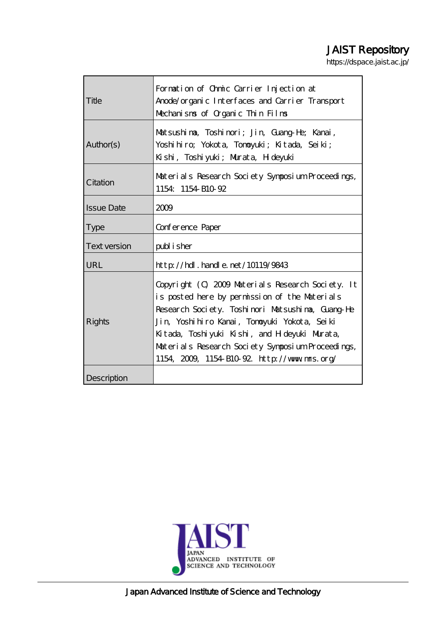# JAIST Repository

https://dspace.jaist.ac.jp/

| Title               | Formation of Ohmic Carrier Injection at           |  |  |
|---------------------|---------------------------------------------------|--|--|
|                     | Anode/organic Interfaces and Carrier Transport    |  |  |
|                     | Mechanisms of Organic Thin Films                  |  |  |
|                     |                                                   |  |  |
| Author(s)           | Matsushina, Toshinori; Jin, Guang-He; Kanai,      |  |  |
|                     | Yoshihiro; Yokota, Tonoyuki; Kitada, Seiki;       |  |  |
|                     | Kishi, Toshiyuki; Murata, H deyuki                |  |  |
|                     |                                                   |  |  |
| Citation            | Materials Research Society Symposium Proceedings, |  |  |
|                     | 1154 1154 B10 92                                  |  |  |
| <b>Issue Date</b>   | 2009                                              |  |  |
|                     |                                                   |  |  |
| <b>Type</b>         | Conference Paper                                  |  |  |
| <b>Text version</b> | publisher                                         |  |  |
| URL                 | $http$ // $hdl$ . handle. net/10119/9843          |  |  |
| <b>Rights</b>       |                                                   |  |  |
|                     | Copyright (C) 2009 Materials Research Society. It |  |  |
|                     | is posted here by permission of the Materials     |  |  |
|                     | Research Society. Toshinori Matsushina, Guang-He  |  |  |
|                     | Jin, Yoshihiro Kanai, Tonoyuki Yokota, Seiki      |  |  |
|                     | Kitada, Toshiyuki Kishi, and H deyuki Murata,     |  |  |
|                     | Materials Research Society Symposium Proceedings, |  |  |
|                     | 1154, 2009, 1154 B10 92. http://www.mms.org/      |  |  |
|                     |                                                   |  |  |
| Description         |                                                   |  |  |



Japan Advanced Institute of Science and Technology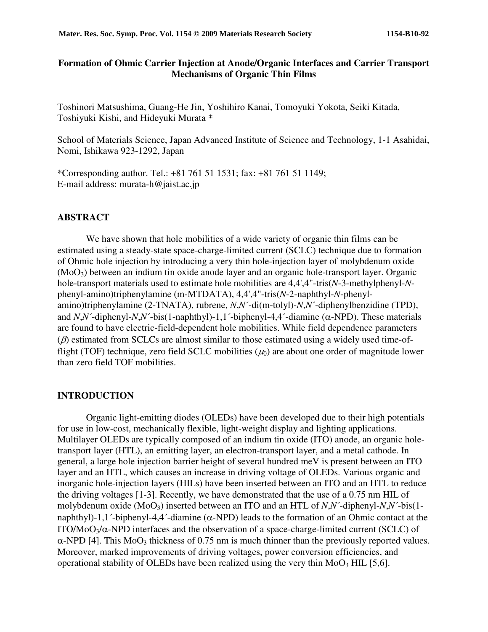# **Formation of Ohmic Carrier Injection at Anode/Organic Interfaces and Carrier Transport Mechanisms of Organic Thin Films**

Toshinori Matsushima, Guang-He Jin, Yoshihiro Kanai, Tomoyuki Yokota, Seiki Kitada, Toshiyuki Kishi, and Hideyuki Murata \*

School of Materials Science, Japan Advanced Institute of Science and Technology, 1-1 Asahidai, Nomi, Ishikawa 923-1292, Japan

\*Corresponding author. Tel.: +81 761 51 1531; fax: +81 761 51 1149; E-mail address: murata-h@jaist.ac.jp

## **ABSTRACT**

We have shown that hole mobilities of a wide variety of organic thin films can be estimated using a steady-state space-charge-limited current (SCLC) technique due to formation of Ohmic hole injection by introducing a very thin hole-injection layer of molybdenum oxide (MoO3) between an indium tin oxide anode layer and an organic hole-transport layer. Organic hole-transport materials used to estimate hole mobilities are 4,4',4"-tris(*N*-3-methylphenyl-*N*phenyl-amino)triphenylamine (m-MTDATA), 4,4',4"-tris(*N*-2-naphthyl-*N*-phenylamino)triphenylamine (2-TNATA), rubrene, *N*,*N*´-di(m-tolyl)-*N*,*N*´-diphenylbenzidine (TPD), and  $N$ , $N$ <sup> $\cdot$ </sup>-diphenyl- $N$ , $N$ <sup> $\cdot$ </sup>-bis(1-naphthyl)-1,1<sup> $\cdot$ </sup>-biphenyl-4,4 $\cdot$ -diamine ( $\alpha$ -NPD). These materials are found to have electric-field-dependent hole mobilities. While field dependence parameters  $(\beta)$  estimated from SCLCs are almost similar to those estimated using a widely used time-offlight (TOF) technique, zero field SCLC mobilities  $(\mu_0)$  are about one order of magnitude lower than zero field TOF mobilities.

#### **INTRODUCTION**

Organic light-emitting diodes (OLEDs) have been developed due to their high potentials for use in low-cost, mechanically flexible, light-weight display and lighting applications. Multilayer OLEDs are typically composed of an indium tin oxide (ITO) anode, an organic holetransport layer (HTL), an emitting layer, an electron-transport layer, and a metal cathode. In general, a large hole injection barrier height of several hundred meV is present between an ITO layer and an HTL, which causes an increase in driving voltage of OLEDs. Various organic and inorganic hole-injection layers (HILs) have been inserted between an ITO and an HTL to reduce the driving voltages [1-3]. Recently, we have demonstrated that the use of a 0.75 nm HIL of molybdenum oxide (MoO3) inserted between an ITO and an HTL of *N*,*N*´-diphenyl-*N*,*N*´-bis(1 naphthyl)-1,1´-biphenyl-4,4´-diamine (α-NPD) leads to the formation of an Ohmic contact at the ITO/MoO<sub>3</sub>/ $\alpha$ -NPD interfaces and the observation of a space-charge-limited current (SCLC) of  $\alpha$ -NPD [4]. This MoO<sub>3</sub> thickness of 0.75 nm is much thinner than the previously reported values. Moreover, marked improvements of driving voltages, power conversion efficiencies, and operational stability of OLEDs have been realized using the very thin  $MoO<sub>3</sub> HIL [5,6]$ .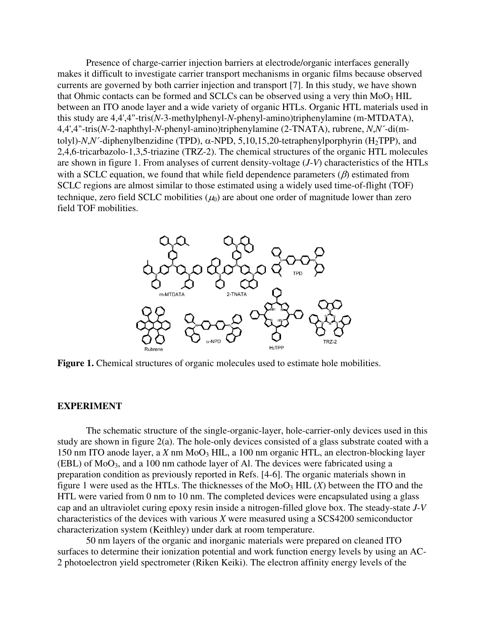Presence of charge-carrier injection barriers at electrode/organic interfaces generally makes it difficult to investigate carrier transport mechanisms in organic films because observed currents are governed by both carrier injection and transport [7]. In this study, we have shown that Ohmic contacts can be formed and SCLCs can be observed using a very thin  $MoO<sub>3</sub> HIL$ between an ITO anode layer and a wide variety of organic HTLs. Organic HTL materials used in this study are 4,4',4"-tris(*N*-3-methylphenyl-*N*-phenyl-amino)triphenylamine (m-MTDATA), 4,4',4"-tris(*N*-2-naphthyl-*N*-phenyl-amino)triphenylamine (2-TNATA), rubrene, *N*,*N*´-di(mtolyl)- $N$ , $N'$ -diphenylbenzidine (TPD),  $\alpha$ -NPD, 5,10,15,20-tetraphenylporphyrin (H<sub>2</sub>TPP), and 2,4,6-tricarbazolo-1,3,5-triazine (TRZ-2). The chemical structures of the organic HTL molecules are shown in figure 1. From analyses of current density-voltage (*J*-*V*) characteristics of the HTLs with a SCLC equation, we found that while field dependence parameters  $(\beta)$  estimated from SCLC regions are almost similar to those estimated using a widely used time-of-flight (TOF) technique, zero field SCLC mobilities  $(\mu_0)$  are about one order of magnitude lower than zero field TOF mobilities.



**Figure 1.** Chemical structures of organic molecules used to estimate hole mobilities.

### **EXPERIMENT**

The schematic structure of the single-organic-layer, hole-carrier-only devices used in this study are shown in figure 2(a). The hole-only devices consisted of a glass substrate coated with a 150 nm ITO anode layer, a *X* nm  $MoO<sub>3</sub> HIL$ , a 100 nm organic HTL, an electron-blocking layer  $(EBL)$  of MoO<sub>3</sub>, and a 100 nm cathode layer of Al. The devices were fabricated using a preparation condition as previously reported in Refs. [4-6]. The organic materials shown in figure 1 were used as the HTLs. The thicknesses of the  $MoO<sub>3</sub> HIL(X)$  between the ITO and the HTL were varied from 0 nm to 10 nm. The completed devices were encapsulated using a glass cap and an ultraviolet curing epoxy resin inside a nitrogen-filled glove box. The steady-state *J*-*V* characteristics of the devices with various *X* were measured using a SCS4200 semiconductor characterization system (Keithley) under dark at room temperature.

50 nm layers of the organic and inorganic materials were prepared on cleaned ITO surfaces to determine their ionization potential and work function energy levels by using an AC-2 photoelectron yield spectrometer (Riken Keiki). The electron affinity energy levels of the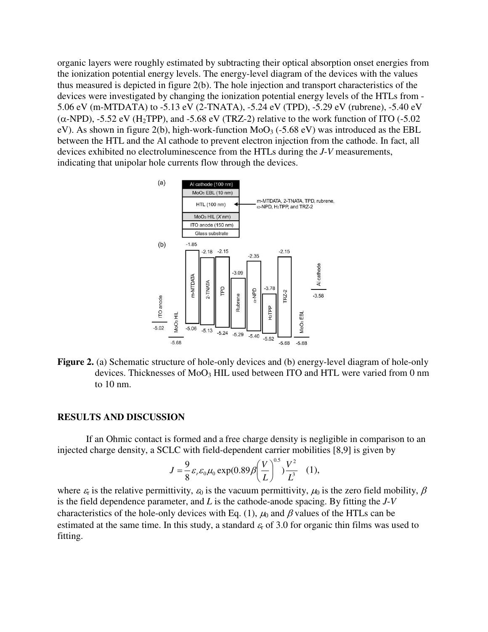organic layers were roughly estimated by subtracting their optical absorption onset energies from the ionization potential energy levels. The energy-level diagram of the devices with the values thus measured is depicted in figure 2(b). The hole injection and transport characteristics of the devices were investigated by changing the ionization potential energy levels of the HTLs from - 5.06 eV (m-MTDATA) to -5.13 eV (2-TNATA), -5.24 eV (TPD), -5.29 eV (rubrene), -5.40 eV ( $\alpha$ -NPD), -5.52 eV (H<sub>2</sub>TPP), and -5.68 eV (TRZ-2) relative to the work function of ITO (-5.02) eV). As shown in figure 2(b), high-work-function  $MoO<sub>3</sub>$  (-5.68 eV) was introduced as the EBL between the HTL and the Al cathode to prevent electron injection from the cathode. In fact, all devices exhibited no electroluminescence from the HTLs during the *J*-*V* measurements, indicating that unipolar hole currents flow through the devices.



**Figure 2.** (a) Schematic structure of hole-only devices and (b) energy-level diagram of hole-only devices. Thicknesses of MoO<sub>3</sub> HIL used between ITO and HTL were varied from 0 nm to 10 nm.

### **RESULTS AND DISCUSSION**

If an Ohmic contact is formed and a free charge density is negligible in comparison to an injected charge density, a SCLC with field-dependent carrier mobilities [8,9] is given by

$$
J = \frac{9}{8} \varepsilon_r \varepsilon_0 \mu_0 \exp(0.89 \beta \left(\frac{V}{L}\right)^{0.5}) \frac{V^2}{L^3} \quad (1),
$$

where  $\varepsilon_r$  is the relative permittivity,  $\varepsilon_0$  is the vacuum permittivity,  $\mu_0$  is the zero field mobility,  $\beta$ is the field dependence parameter, and *L* is the cathode-anode spacing. By fitting the *J*-*V* characteristics of the hole-only devices with Eq. (1),  $\mu_0$  and  $\beta$  values of the HTLs can be estimated at the same time. In this study, a standard  $\varepsilon_r$  of 3.0 for organic thin films was used to fitting.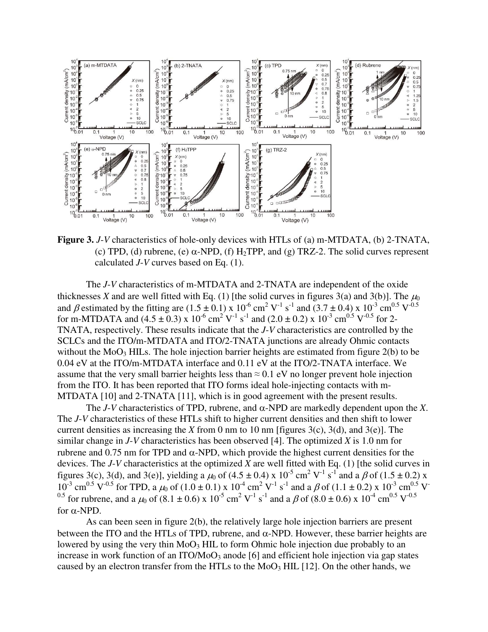

**Figure 3.** *J*-*V* characteristics of hole-only devices with HTLs of (a) m-MTDATA, (b) 2-TNATA, (c) TPD, (d) rubrene, (e)  $\alpha$ -NPD, (f) H<sub>2</sub>TPP, and (g) TRZ-2. The solid curves represent calculated *J*-*V* curves based on Eq. (1).

The *J*-*V* characteristics of m-MTDATA and 2-TNATA are independent of the oxide thicknesses *X* and are well fitted with Eq. (1) [the solid curves in figures 3(a) and 3(b)]. The  $\mu_0$ and  $\beta$  estimated by the fitting are (1.5  $\pm$  0.1) x 10<sup>-6</sup> cm<sup>2</sup> V<sup>-1</sup> s<sup>-1</sup> and (3.7  $\pm$  0.4) x 10<sup>-3</sup> cm<sup>0.5</sup> V<sup>-0.5</sup> for m-MTDATA and (4.5  $\pm$  0.3) x 10<sup>-6</sup> cm<sup>2</sup> V<sup>-1</sup> s<sup>-1</sup> and (2.0  $\pm$  0.2) x 10<sup>-3</sup> cm<sup>0.5</sup> V<sup>-0.5</sup> for 2-TNATA, respectively. These results indicate that the *J*-*V* characteristics are controlled by the SCLCs and the ITO/m-MTDATA and ITO/2-TNATA junctions are already Ohmic contacts without the  $MO<sub>3</sub> HILs$ . The hole injection barrier heights are estimated from figure 2(b) to be 0.04 eV at the ITO/m-MTDATA interface and 0.11 eV at the ITO/2-TNATA interface. We assume that the very small barrier heights less than  $\approx 0.1$  eV no longer prevent hole injection from the ITO. It has been reported that ITO forms ideal hole-injecting contacts with m-MTDATA [10] and 2-TNATA [11], which is in good agreement with the present results.

The *J*-*V* characteristics of TPD, rubrene, and  $\alpha$ -NPD are markedly dependent upon the *X*. The *J*-*V* characteristics of these HTLs shift to higher current densities and then shift to lower current densities as increasing the *X* from 0 nm to 10 nm [figures 3(c), 3(d), and 3(e)]. The similar change in *J*-*V* characteristics has been observed [4]. The optimized *X* is 1.0 nm for rubrene and 0.75 nm for TPD and  $\alpha$ -NPD, which provide the highest current densities for the devices. The *J*-*V* characteristics at the optimized *X* are well fitted with Eq. (1) [the solid curves in figures 3(c), 3(d), and 3(e)], yielding a  $\mu_0$  of (4.5  $\pm$  0.4) x 10<sup>-5</sup> cm<sup>2</sup> V<sup>-1</sup> s<sup>-1</sup> and a  $\beta$  of (1.5  $\pm$  0.2) x  $10^{-3}$  cm<sup>0.5</sup> V<sup>-0.5</sup> for TPD, a  $\mu_0$  of (1.0  $\pm$  0.1) x  $10^{-4}$  cm<sup>2</sup> V<sup>-1</sup> s<sup>-1</sup> and a  $\beta$  of (1.1  $\pm$  0.2) x  $10^{-3}$  cm<sup>0.5</sup> V<sup>-</sup> <sup>0.5</sup> for rubrene, and a  $\mu_0$  of (8.1 ± 0.6) x 10<sup>-5</sup> cm<sup>2</sup> V<sup>-1</sup> s<sup>-1</sup> and a  $\beta$  of (8.0 ± 0.6) x 10<sup>-4</sup> cm<sup>0.5</sup> V<sup>-0.5</sup> for  $\alpha$ -NPD.

As can been seen in figure 2(b), the relatively large hole injection barriers are present between the ITO and the HTLs of TPD, rubrene, and  $\alpha$ -NPD. However, these barrier heights are lowered by using the very thin  $MoO<sub>3</sub> HIL$  to form Ohmic hole injection due probably to an increase in work function of an  $ITO/MoO<sub>3</sub>$  anode [6] and efficient hole injection via gap states caused by an electron transfer from the HTLs to the  $MoO<sub>3</sub> HIL [12]$ . On the other hands, we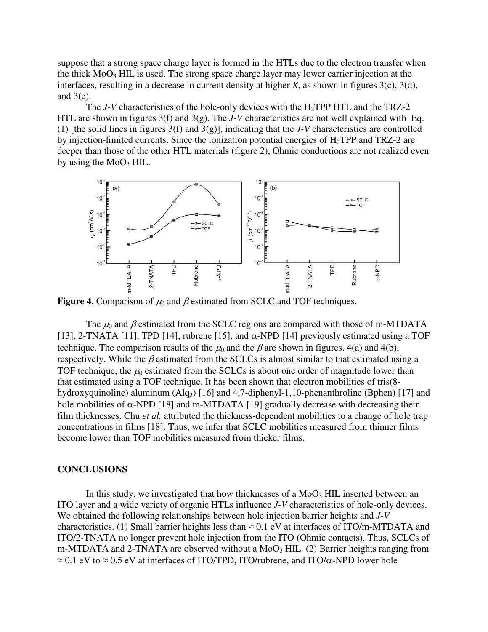suppose that a strong space charge layer is formed in the HTLs due to the electron transfer when the thick  $MO<sub>3</sub> HIL$  is used. The strong space charge layer may lower carrier injection at the interfaces, resulting in a decrease in current density at higher *X*, as shown in figures 3(c), 3(d), and  $3(e)$ .

The  $J$ -*V* characteristics of the hole-only devices with the  $H_2$ TPP HTL and the TRZ-2 HTL are shown in figures 3(f) and 3(g). The *J*-*V* characteristics are not well explained with Eq. (1) [the solid lines in figures 3(f) and 3(g)], indicating that the *J*-*V* characteristics are controlled by injection-limited currents. Since the ionization potential energies of  $H_2TPP$  and TRZ-2 are deeper than those of the other HTL materials (figure 2), Ohmic conductions are not realized even by using the  $MoO<sub>3</sub> HIL$ .



**Figure 4.** Comparison of  $\mu_0$  and  $\beta$  estimated from SCLC and TOF techniques.

The  $\mu_0$  and  $\beta$  estimated from the SCLC regions are compared with those of m-MTDATA [13], 2-TNATA [11], TPD [14], rubrene [15], and  $\alpha$ -NPD [14] previously estimated using a TOF technique. The comparison results of the  $\mu_0$  and the  $\beta$  are shown in figures. 4(a) and 4(b), respectively. While the  $\beta$  estimated from the SCLCs is almost similar to that estimated using a TOF technique, the  $\mu_0$  estimated from the SCLCs is about one order of magnitude lower than that estimated using a TOF technique. It has been shown that electron mobilities of tris(8 hydroxyquinoline) aluminum  $(Alq<sub>3</sub>)$  [16] and 4,7-diphenyl-1,10-phenanthroline (Bphen) [17] and hole mobilities of  $\alpha$ -NPD [18] and m-MTDATA [19] gradually decrease with decreasing their film thicknesses. Chu *et al.* attributed the thickness-dependent mobilities to a change of hole trap concentrations in films [18]. Thus, we infer that SCLC mobilities measured from thinner films become lower than TOF mobilities measured from thicker films.

#### **CONCLUSIONS**

In this study, we investigated that how thicknesses of a  $MoO<sub>3</sub> HIL$  inserted between an ITO layer and a wide variety of organic HTLs influence *J*-*V* characteristics of hole-only devices. We obtained the following relationships between hole injection barrier heights and *J*-*V* characteristics. (1) Small barrier heights less than  $\approx 0.1$  eV at interfaces of ITO/m-MTDATA and ITO/2-TNATA no longer prevent hole injection from the ITO (Ohmic contacts). Thus, SCLCs of m-MTDATA and 2-TNATA are observed without a  $MoO<sub>3</sub> HIL.$  (2) Barrier heights ranging from  $\approx$  0.1 eV to  $\approx$  0.5 eV at interfaces of ITO/TPD, ITO/rubrene, and ITO/α-NPD lower hole